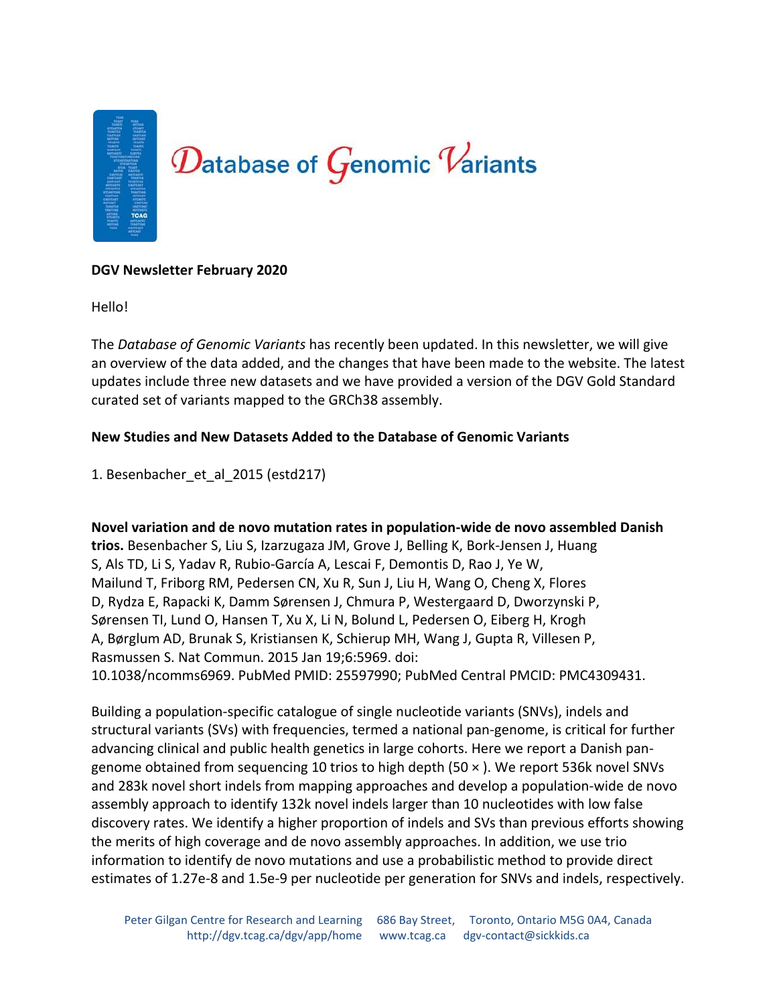

## **DGV Newsletter February 2020**

Hello!

The *Database of Genomic Variants* has recently been updated. In this newsletter, we will give an overview of the data added, and the changes that have been made to the website. The latest updates include three new datasets and we have provided a version of the DGV Gold Standard curated set of variants mapped to the GRCh38 assembly.

## **New Studies and New Datasets Added to the Database of Genomic Variants**

1. Besenbacher\_et\_al\_2015 (estd217)

# **Novel variation and de novo mutation rates in population-wide de novo assembled Danish**

**trios.** Besenbacher S, Liu S, Izarzugaza JM, Grove J, Belling K, Bork-Jensen J, Huang S, Als TD, Li S, Yadav R, Rubio-García A, Lescai F, Demontis D, Rao J, Ye W, Mailund T, Friborg RM, Pedersen CN, Xu R, Sun J, Liu H, Wang O, Cheng X, Flores D, Rydza E, Rapacki K, Damm Sørensen J, Chmura P, Westergaard D, Dworzynski P, Sørensen TI, Lund O, Hansen T, Xu X, Li N, Bolund L, Pedersen O, Eiberg H, Krogh A, Børglum AD, Brunak S, Kristiansen K, Schierup MH, Wang J, Gupta R, Villesen P, Rasmussen S. Nat Commun. 2015 Jan 19;6:5969. doi: 10.1038/ncomms6969. PubMed PMID: 25597990; PubMed Central PMCID: PMC4309431.

Building a population-specific catalogue of single nucleotide variants (SNVs), indels and structural variants (SVs) with frequencies, termed a national pan-genome, is critical for further advancing clinical and public health genetics in large cohorts. Here we report a Danish pangenome obtained from sequencing 10 trios to high depth (50 × ). We report 536k novel SNVs and 283k novel short indels from mapping approaches and develop a population-wide de novo assembly approach to identify 132k novel indels larger than 10 nucleotides with low false discovery rates. We identify a higher proportion of indels and SVs than previous efforts showing the merits of high coverage and de novo assembly approaches. In addition, we use trio information to identify de novo mutations and use a probabilistic method to provide direct estimates of 1.27e-8 and 1.5e-9 per nucleotide per generation for SNVs and indels, respectively.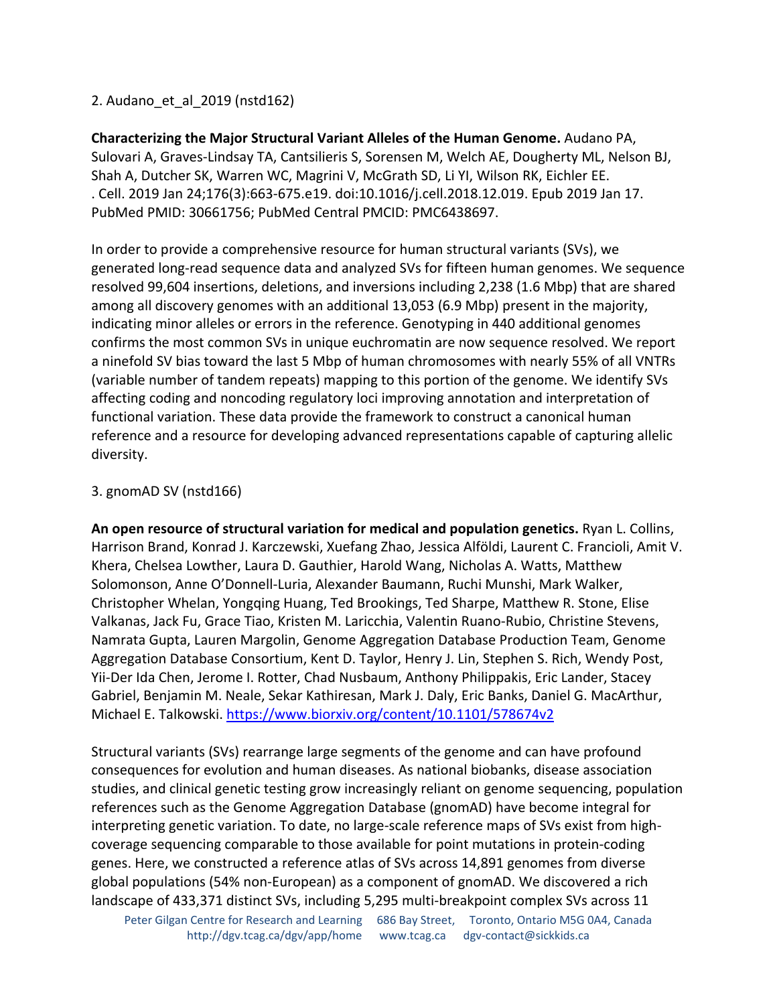# 2. Audano\_et\_al\_2019 (nstd162)

**Characterizing the Major Structural Variant Alleles of the Human Genome.** Audano PA, Sulovari A, Graves-Lindsay TA, Cantsilieris S, Sorensen M, Welch AE, Dougherty ML, Nelson BJ, Shah A, Dutcher SK, Warren WC, Magrini V, McGrath SD, Li YI, Wilson RK, Eichler EE. . Cell. 2019 Jan 24;176(3):663-675.e19. doi:10.1016/j.cell.2018.12.019. Epub 2019 Jan 17. PubMed PMID: 30661756; PubMed Central PMCID: PMC6438697.

In order to provide a comprehensive resource for human structural variants (SVs), we generated long-read sequence data and analyzed SVs for fifteen human genomes. We sequence resolved 99,604 insertions, deletions, and inversions including 2,238 (1.6 Mbp) that are shared among all discovery genomes with an additional 13,053 (6.9 Mbp) present in the majority, indicating minor alleles or errors in the reference. Genotyping in 440 additional genomes confirms the most common SVs in unique euchromatin are now sequence resolved. We report a ninefold SV bias toward the last 5 Mbp of human chromosomes with nearly 55% of all VNTRs (variable number of tandem repeats) mapping to this portion of the genome. We identify SVs affecting coding and noncoding regulatory loci improving annotation and interpretation of functional variation. These data provide the framework to construct a canonical human reference and a resource for developing advanced representations capable of capturing allelic diversity.

### 3. gnomAD SV (nstd166)

**An open resource of structural variation for medical and population genetics.** Ryan L. Collins, Harrison Brand, Konrad J. Karczewski, Xuefang Zhao, Jessica Alföldi, Laurent C. Francioli, Amit V. Khera, Chelsea Lowther, Laura D. Gauthier, Harold Wang, Nicholas A. Watts, Matthew Solomonson, Anne O'Donnell-Luria, Alexander Baumann, Ruchi Munshi, Mark Walker, Christopher Whelan, Yongqing Huang, Ted Brookings, Ted Sharpe, Matthew R. Stone, Elise Valkanas, Jack Fu, Grace Tiao, Kristen M. Laricchia, Valentin Ruano-Rubio, Christine Stevens, Namrata Gupta, Lauren Margolin, Genome Aggregation Database Production Team, Genome Aggregation Database Consortium, Kent D. Taylor, Henry J. Lin, Stephen S. Rich, Wendy Post, Yii-Der Ida Chen, Jerome I. Rotter, Chad Nusbaum, Anthony Philippakis, Eric Lander, Stacey Gabriel, Benjamin M. Neale, Sekar Kathiresan, Mark J. Daly, Eric Banks, Daniel G. MacArthur, Michael E. Talkowski.<https://www.biorxiv.org/content/10.1101/578674v2>

Structural variants (SVs) rearrange large segments of the genome and can have profound consequences for evolution and human diseases. As national biobanks, disease association studies, and clinical genetic testing grow increasingly reliant on genome sequencing, population references such as the Genome Aggregation Database (gnomAD) have become integral for interpreting genetic variation. To date, no large-scale reference maps of SVs exist from highcoverage sequencing comparable to those available for point mutations in protein-coding genes. Here, we constructed a reference atlas of SVs across 14,891 genomes from diverse global populations (54% non-European) as a component of gnomAD. We discovered a rich landscape of 433,371 distinct SVs, including 5,295 multi-breakpoint complex SVs across 11